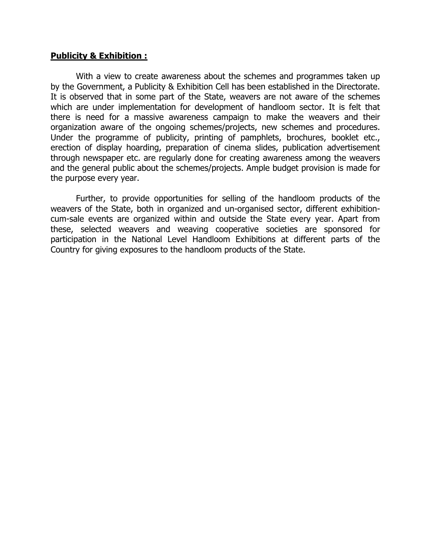## **Publicity & Exhibition :**

 With a view to create awareness about the schemes and programmes taken up by the Government, a Publicity & Exhibition Cell has been established in the Directorate. It is observed that in some part of the State, weavers are not aware of the schemes which are under implementation for development of handloom sector. It is felt that there is need for a massive awareness campaign to make the weavers and their organization aware of the ongoing schemes/projects, new schemes and procedures. Under the programme of publicity, printing of pamphlets, brochures, booklet etc., erection of display hoarding, preparation of cinema slides, publication advertisement through newspaper etc. are regularly done for creating awareness among the weavers and the general public about the schemes/projects. Ample budget provision is made for the purpose every year.

 Further, to provide opportunities for selling of the handloom products of the weavers of the State, both in organized and un-organised sector, different exhibitioncum-sale events are organized within and outside the State every year. Apart from these, selected weavers and weaving cooperative societies are sponsored for participation in the National Level Handloom Exhibitions at different parts of the Country for giving exposures to the handloom products of the State.